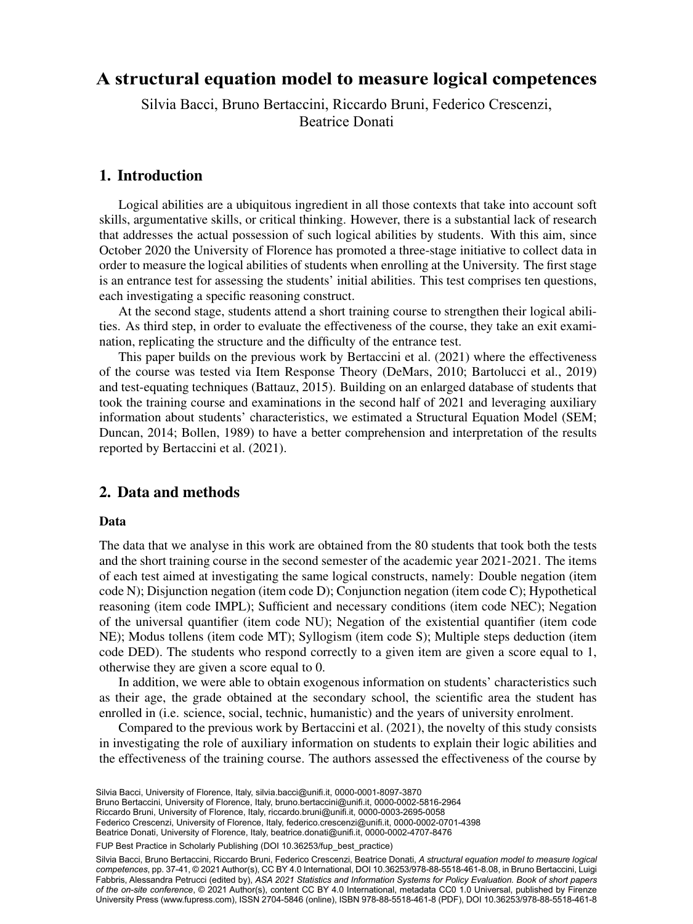# Beatrice Donati <sup>b</sup> <sup>a</sup> Department of Statistics, Computer Science, Applications, University of Florence, Florence, **A structural equation model to measure logical competences**

 $\mathbf{D}$ :  $\mathbf{E}$ Silvia Bacci, Bruno Bertaccini, Riccardo Bruni, Federico Crescenzi, Beatrice Donati

## 1. Introduction

Logical abilities are a ubiquitous ingredient in all those contexts that take into account soft skills, argumentative skills, or critical thinking. However, there is a substantial lack of research that addresses the actual possession of such logical abilities by students. With this aim, since October 2020 the University of Florence has promoted a three-stage initiative to collect data in order to measure the logical abilities of students when enrolling at the University. The first stage is an entrance test for assessing the students' initial abilities. This test comprises ten questions, each investigating a specific reasoning construct.

At the second stage, students attend a short training course to strengthen their logical abilities. As third step, in order to evaluate the effectiveness of the course, they take an exit examination, replicating the structure and the difficulty of the entrance test.

This paper builds on the previous work by Bertaccini et al. (2021) where the effectiveness of the course was tested via Item Response Theory (DeMars, 2010; Bartolucci et al., 2019) and test-equating techniques (Battauz, 2015). Building on an enlarged database of students that took the training course and examinations in the second half of 2021 and leveraging auxiliary information about students' characteristics, we estimated a Structural Equation Model (SEM; Duncan, 2014; Bollen, 1989) to have a better comprehension and interpretation of the results reported by Bertaccini et al. (2021).

# 2. Data and methods

#### Data

The data that we analyse in this work are obtained from the 80 students that took both the tests and the short training course in the second semester of the academic year 2021-2021. The items of each test aimed at investigating the same logical constructs, namely: Double negation (item code N); Disjunction negation (item code D); Conjunction negation (item code C); Hypothetical reasoning (item code IMPL); Sufficient and necessary conditions (item code NEC); Negation of the universal quantifier (item code NU); Negation of the existential quantifier (item code NE); Modus tollens (item code MT); Syllogism (item code S); Multiple steps deduction (item code DED). The students who respond correctly to a given item are given a score equal to 1, otherwise they are given a score equal to 0.

In addition, we were able to obtain exogenous information on students' characteristics such as their age, the grade obtained at the secondary school, the scientific area the student has enrolled in (i.e. science, social, technic, humanistic) and the years of university enrolment.

Compared to the previous work by Bertaccini et al. (2021), the novelty of this study consists in investigating the role of auxiliary information on students to explain their logic abilities and the effectiveness of the training course. The authors assessed the effectiveness of the course by

<sup>27</sup> Riccardo Bruni, University of Florence, Italy, [riccardo.bruni@unifi.it,](mailto:riccardo.bruni@unifi.it) [0000-0003-2695-0058](https://orcid.org/0000-0003-2695-0058) Silvia Bacci, University of Florence, Italy, [silvia.bacci@unifi.it](mailto:silvia.bacci@unifi.it), [0000-0001-8097-3870](https://orcid.org/0000-0001-8097-3870) Bruno Bertaccini, University of Florence, Italy, [bruno.bertaccini@unifi.it,](mailto:bruno.bertaccini@unifi.it) [0000-0002-5816-2964](https://orcid.org/0000-0002-5816-2964) Federico Crescenzi, University of Florence, Italy, [federico.crescenzi@unifi.it](mailto:federico.crescenzi@unifi.it), [0000-0002-0701-4398](https://orcid.org/0000-0002-0701-4398) Beatrice Donati, University of Florence, Italy, [beatrice.donati@unifi.it](mailto:beatrice.donati@unifi.it), [0000-0002-4707-8476](https://orcid.org/0000-0002-4707-8476)

FUP Best Practice in Scholarly Publishing (DOI 10.36253/fup best practice)

Silvia Bacci, Bruno Bertaccini, Riccardo Bruni, Federico Crescenzi, Beatrice Donati, *A structural equation model to measure logical competences*, pp. 37-41, © 2021 Author(s), [CC BY 4.0 International](http://creativecommons.org/licenses/by/4.0/legalcode), DOI [10.36253/978-88-5518-461-8.08](https://doi.org/10.36253/978-88-5518-461-8.08), in Bruno Bertaccini, Luigi Fabbris, Alessandra Petrucci (edited by), *ASA 2021 Statistics and Information Systems for Policy Evaluation. Book of short papers of the on-site conference*, © 2021 Author(s), content [CC BY 4.0 International,](http://creativecommons.org/licenses/by/4.0/legalcode) metadata [CC0 1.0 Universal](https://creativecommons.org/publicdomain/zero/1.0/legalcode), published by Firenze University Press [\(www.fupress.com\)](http://www.fupress.com), ISSN 2704-5846 (online), ISBN 978-88-5518-461-8 (PDF), DOI [10.36253/978-88-5518-461-8](https://doi.org/10.36253/978-88-5518-461-8)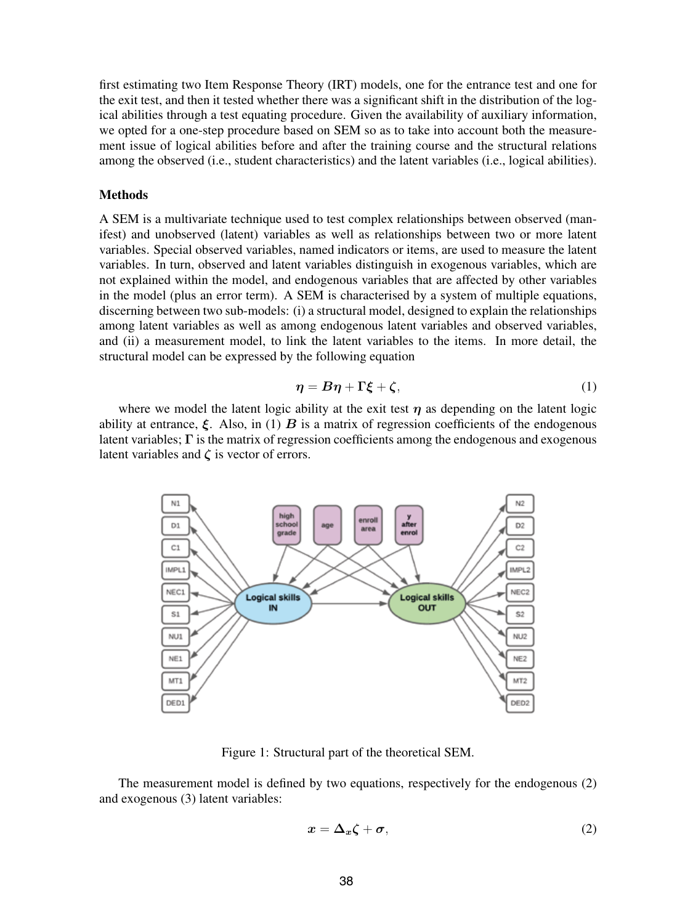first estimating two Item Response Theory (IRT) models, one for the entrance test and one for the exit test, and then it tested whether there was a significant shift in the distribution of the logical abilities through a test equating procedure. Given the availability of auxiliary information, we opted for a one-step procedure based on SEM so as to take into account both the measurement issue of logical abilities before and after the training course and the structural relations among the observed (i.e., student characteristics) and the latent variables (i.e., logical abilities).

#### **Methods**

A SEM is a multivariate technique used to test complex relationships between observed (manifest) and unobserved (latent) variables as well as relationships between two or more latent variables. Special observed variables, named indicators or items, are used to measure the latent variables. In turn, observed and latent variables distinguish in exogenous variables, which are not explained within the model, and endogenous variables that are affected by other variables in the model (plus an error term). A SEM is characterised by a system of multiple equations, discerning between two sub-models: (i) a structural model, designed to explain the relationships among latent variables as well as among endogenous latent variables and observed variables, and (ii) a measurement model, to link the latent variables to the items. In more detail, the structural model can be expressed by the following equation

$$
\eta = B\eta + \Gamma \xi + \zeta, \tag{1}
$$

where we model the latent logic ability at the exit test  $\eta$  as depending on the latent logic ability at entrance,  $\xi$ . Also, in (1) **B** is a matrix of regression coefficients of the endogenous latent variables;  $\Gamma$  is the matrix of regression coefficients among the endogenous and exogenous latent variables and  $\zeta$  is vector of errors.



Figure 1: Structural part of the theoretical SEM.

The measurement model is defined by two equations, respectively for the endogenous (2) and exogenous (3) latent variables:

$$
x = \Delta_x \zeta + \sigma,\tag{2}
$$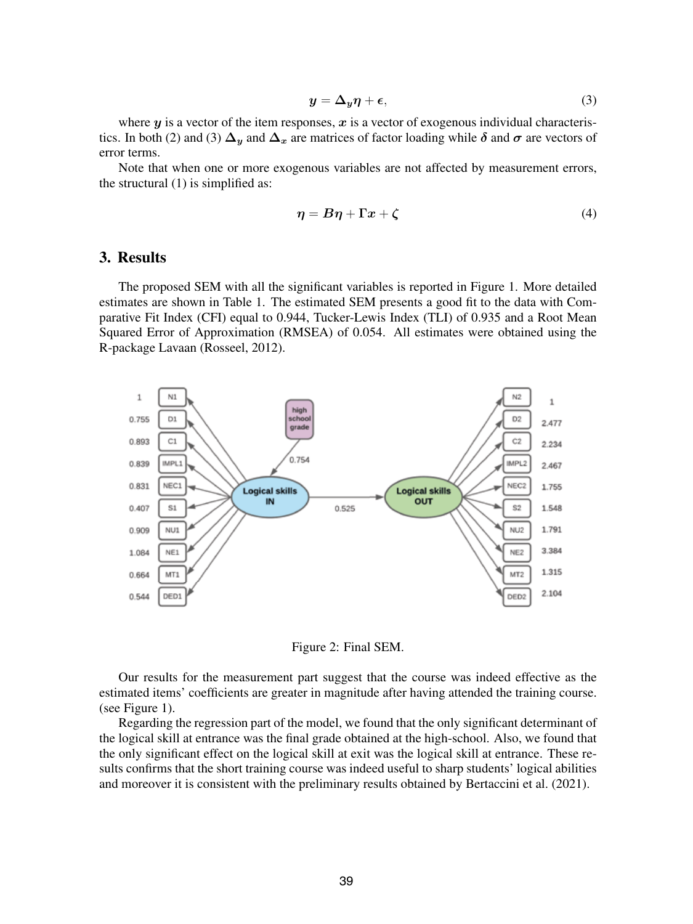$$
y = \Delta_y \eta + \epsilon,\tag{3}
$$

where  $y$  is a vector of the item responses,  $x$  is a vector of exogenous individual characteristics. In both (2) and (3)  $\Delta_y$  and  $\Delta_x$  are matrices of factor loading while  $\delta$  and  $\sigma$  are vectors of error terms.

Note that when one or more exogenous variables are not affected by measurement errors, the structural (1) is simplified as:

$$
\eta = B\eta + \Gamma x + \zeta \tag{4}
$$

# 3. Results

The proposed SEM with all the significant variables is reported in Figure 1. More detailed estimates are shown in Table 1. The estimated SEM presents a good fit to the data with Comparative Fit Index (CFI) equal to 0.944, Tucker-Lewis Index (TLI) of 0.935 and a Root Mean Squared Error of Approximation (RMSEA) of 0.054. All estimates were obtained using the R-package Lavaan (Rosseel, 2012).



Figure 2: Final SEM.

Our results for the measurement part suggest that the course was indeed effective as the estimated items' coefficients are greater in magnitude after having attended the training course. (see Figure 1).

Regarding the regression part of the model, we found that the only significant determinant of the logical skill at entrance was the final grade obtained at the high-school. Also, we found that the only significant effect on the logical skill at exit was the logical skill at entrance. These results confirms that the short training course was indeed useful to sharp students' logical abilities and moreover it is consistent with the preliminary results obtained by Bertaccini et al. (2021).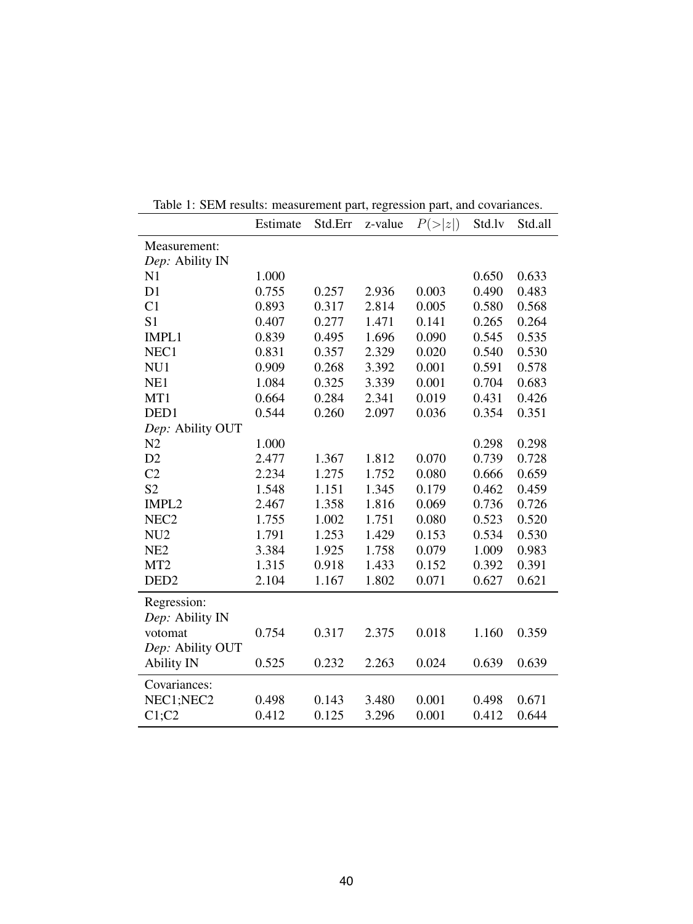|                   | Estimate | Std.Err | z-value | $P(\geq  z )$ | Std.lv | Std.all |
|-------------------|----------|---------|---------|---------------|--------|---------|
| Measurement:      |          |         |         |               |        |         |
| Dep: Ability IN   |          |         |         |               |        |         |
| N1                | 1.000    |         |         |               | 0.650  | 0.633   |
| D <sub>1</sub>    | 0.755    | 0.257   | 2.936   | 0.003         | 0.490  | 0.483   |
| C <sub>1</sub>    | 0.893    | 0.317   | 2.814   | 0.005         | 0.580  | 0.568   |
| S <sub>1</sub>    | 0.407    | 0.277   | 1.471   | 0.141         | 0.265  | 0.264   |
| IMPL1             | 0.839    | 0.495   | 1.696   | 0.090         | 0.545  | 0.535   |
| NEC1              | 0.831    | 0.357   | 2.329   | 0.020         | 0.540  | 0.530   |
| NU1               | 0.909    | 0.268   | 3.392   | 0.001         | 0.591  | 0.578   |
| NE1               | 1.084    | 0.325   | 3.339   | 0.001         | 0.704  | 0.683   |
| MT1               | 0.664    | 0.284   | 2.341   | 0.019         | 0.431  | 0.426   |
| DED <sub>1</sub>  | 0.544    | 0.260   | 2.097   | 0.036         | 0.354  | 0.351   |
| Dep: Ability OUT  |          |         |         |               |        |         |
| N <sub>2</sub>    | 1.000    |         |         |               | 0.298  | 0.298   |
| D2                | 2.477    | 1.367   | 1.812   | 0.070         | 0.739  | 0.728   |
| C <sub>2</sub>    | 2.234    | 1.275   | 1.752   | 0.080         | 0.666  | 0.659   |
| S <sub>2</sub>    | 1.548    | 1.151   | 1.345   | 0.179         | 0.462  | 0.459   |
| IMPL2             | 2.467    | 1.358   | 1.816   | 0.069         | 0.736  | 0.726   |
| NEC <sub>2</sub>  | 1.755    | 1.002   | 1.751   | 0.080         | 0.523  | 0.520   |
| NU <sub>2</sub>   | 1.791    | 1.253   | 1.429   | 0.153         | 0.534  | 0.530   |
| NE <sub>2</sub>   | 3.384    | 1.925   | 1.758   | 0.079         | 1.009  | 0.983   |
| MT <sub>2</sub>   | 1.315    | 0.918   | 1.433   | 0.152         | 0.392  | 0.391   |
| DED <sub>2</sub>  | 2.104    | 1.167   | 1.802   | 0.071         | 0.627  | 0.621   |
| Regression:       |          |         |         |               |        |         |
| Dep: Ability IN   |          |         |         |               |        |         |
| votomat           | 0.754    | 0.317   | 2.375   | 0.018         | 1.160  | 0.359   |
| Dep: Ability OUT  |          |         |         |               |        |         |
| <b>Ability IN</b> | 0.525    | 0.232   | 2.263   | 0.024         | 0.639  | 0.639   |
| Covariances:      |          |         |         |               |        |         |
| NEC1;NEC2         | 0.498    | 0.143   | 3.480   | 0.001         | 0.498  | 0.671   |
| C1;C2             | 0.412    | 0.125   | 3.296   | 0.001         | 0.412  | 0.644   |

Table 1: SEM results: measurement part, regression part, and covariances.